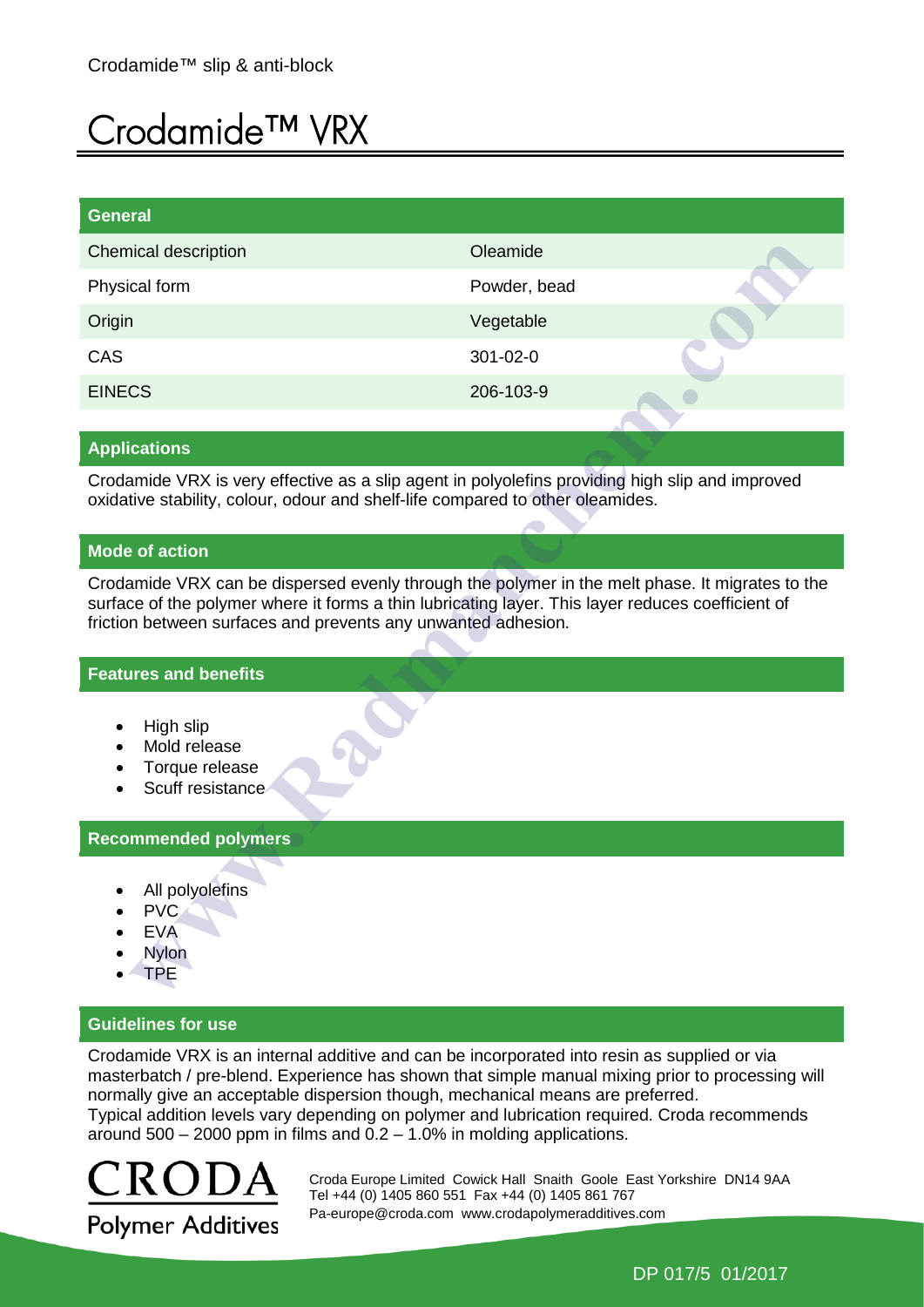# Crodamide™ VRX

| <b>General</b>              |              |  |
|-----------------------------|--------------|--|
| <b>Chemical description</b> | Oleamide     |  |
| Physical form               | Powder, bead |  |
| Origin                      | Vegetable    |  |
| CAS                         | 301-02-0     |  |
| <b>EINECS</b>               | 206-103-9    |  |
|                             |              |  |

## **Applications**

Crodamide VRX is very effective as a slip agent in polyolefins providing high slip and improved oxidative stability, colour, odour and shelf-life compared to other oleamides.

## **Mode of action**

Crodamide VRX can be dispersed evenly through the polymer in the melt phase. It migrates to the surface of the polymer where it forms a thin lubricating layer. This layer reduces coefficient of friction between surfaces and prevents any unwanted adhesion.

#### **Features and benefits**

- High slip
- Mold release
- Torque release
- Scuff resistance

# **Recommended polymers**

- All polyolefins
- PVC
- EVA
- Nylon
- TPE

# **Guidelines for use**

Crodamide VRX is an internal additive and can be incorporated into resin as supplied or via masterbatch / pre-blend. Experience has shown that simple manual mixing prior to processing will normally give an acceptable dispersion though, mechanical means are preferred. Typical addition levels vary depending on polymer and lubrication required. Croda recommends around  $500 - 2000$  ppm in films and  $0.2 - 1.0\%$  in molding applications.



 Croda Europe Limited Cowick Hall Snaith Goole East Yorkshire DN14 9AA Tel +44 (0) 1405 860 551 Fax +44 (0) 1405 861 767 [Pa-europe@croda.com](mailto:Pa-europe@croda.com) www.crodapolymeradditives.com

DP 017/5 01/2017